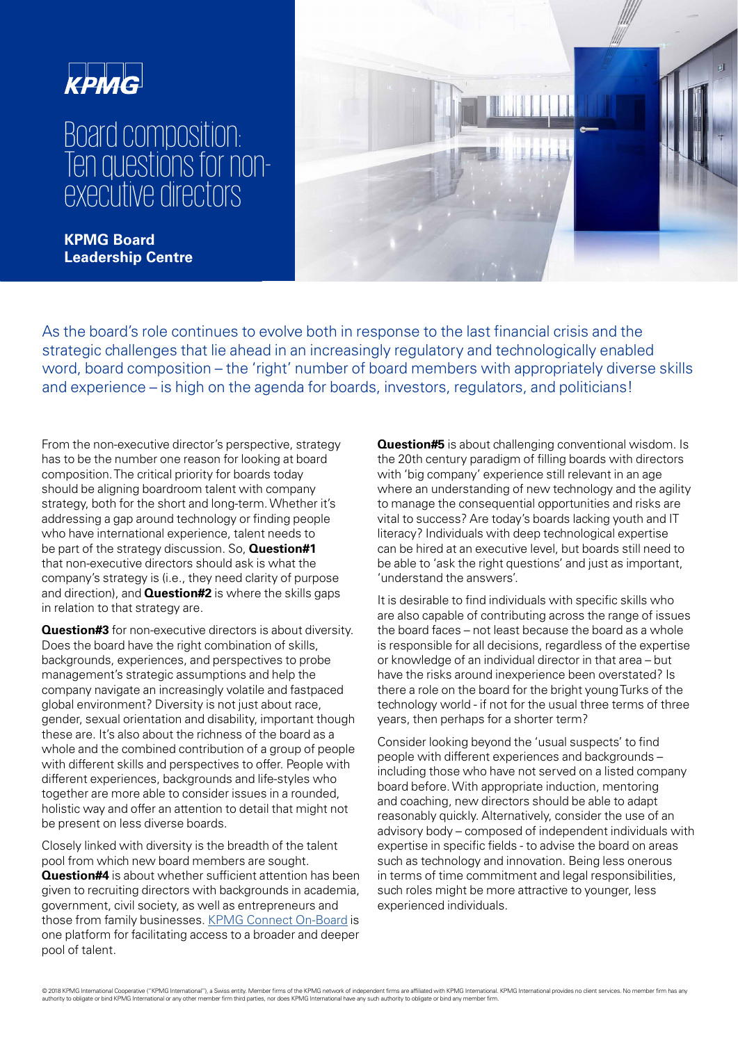

## Board composition: Ten questions for nonexecutive directors

**KPMG Board Leadership Centre** 



As the board's role continues to evolve both in response to the last financial crisis and the strategic challenges that lie ahead in an increasingly regulatory and technologically enabled word, board composition – the 'right' number of board members with appropriately diverse skills and experience – is high on the agenda for boards, investors, regulators, and politicians!

From the non-executive director's perspective, strategy has to be the number one reason for looking at board composition. The critical priority for boards today should be aligning boardroom talent with company strategy, both for the short and long-term. Whether it's addressing a gap around technology or finding people who have international experience, talent needs to be part of the strategy discussion. So, **Question#1**  that non-executive directors should ask is what the company's strategy is (i.e., they need clarity of purpose and direction), and **Question#2** is where the skills gaps in relation to that strategy are.

**Question#3** for non-executive directors is about diversity. Does the board have the right combination of skills. backgrounds, experiences, and perspectives to probe management's strategic assumptions and help the company navigate an increasingly volatile and fastpaced global environment? Diversity is not just about race, gender, sexual orientation and disability, important though these are. It's also about the richness of the board as a whole and the combined contribution of a group of people with different skills and perspectives to offer. People with different experiences, backgrounds and life-styles who together are more able to consider issues in a rounded, holistic way and offer an attention to detail that might not be present on less diverse boards.

Closely linked with diversity is the breadth of the talent pool from which new board members are sought. **Question#4** is about whether sufficient attention has been given to recruiting directors with backgrounds in academia, government, civil society, as well as entrepreneurs and those from family businesses. [KPMG Connect On-Board](https://connectonboard.uk.kpmg.com/) is one platform for facilitating access to a broader and deeper pool of talent.

**Question#5** is about challenging conventional wisdom. Is the 20th century paradigm of filling boards with directors with 'big company' experience still relevant in an age where an understanding of new technology and the agility to manage the consequential opportunities and risks are vital to success? Are today's boards lacking youth and IT literacy? Individuals with deep technological expertise can be hired at an executive level, but boards still need to be able to 'ask the right questions' and just as important. 'understand the answers'.

It is desirable to find individuals with specific skills who are also capable of contributing across the range of issues the board faces – not least because the board as a whole is responsible for all decisions, regardless of the expertise or knowledge of an individual director in that area – but have the risks around inexperience been overstated? Is there a role on the board for the bright young Turks of the technology world - if not for the usual three terms of three years, then perhaps for a shorter term?

Consider looking beyond the 'usual suspects' to find people with different experiences and backgrounds – including those who have not served on a listed company board before. With appropriate induction, mentoring and coaching, new directors should be able to adapt reasonably quickly. Alternatively, consider the use of an advisory body – composed of independent individuals with expertise in specific fields - to advise the board on areas such as technology and innovation. Being less onerous in terms of time commitment and legal responsibilities. such roles might be more attractive to younger, less experienced individuals.